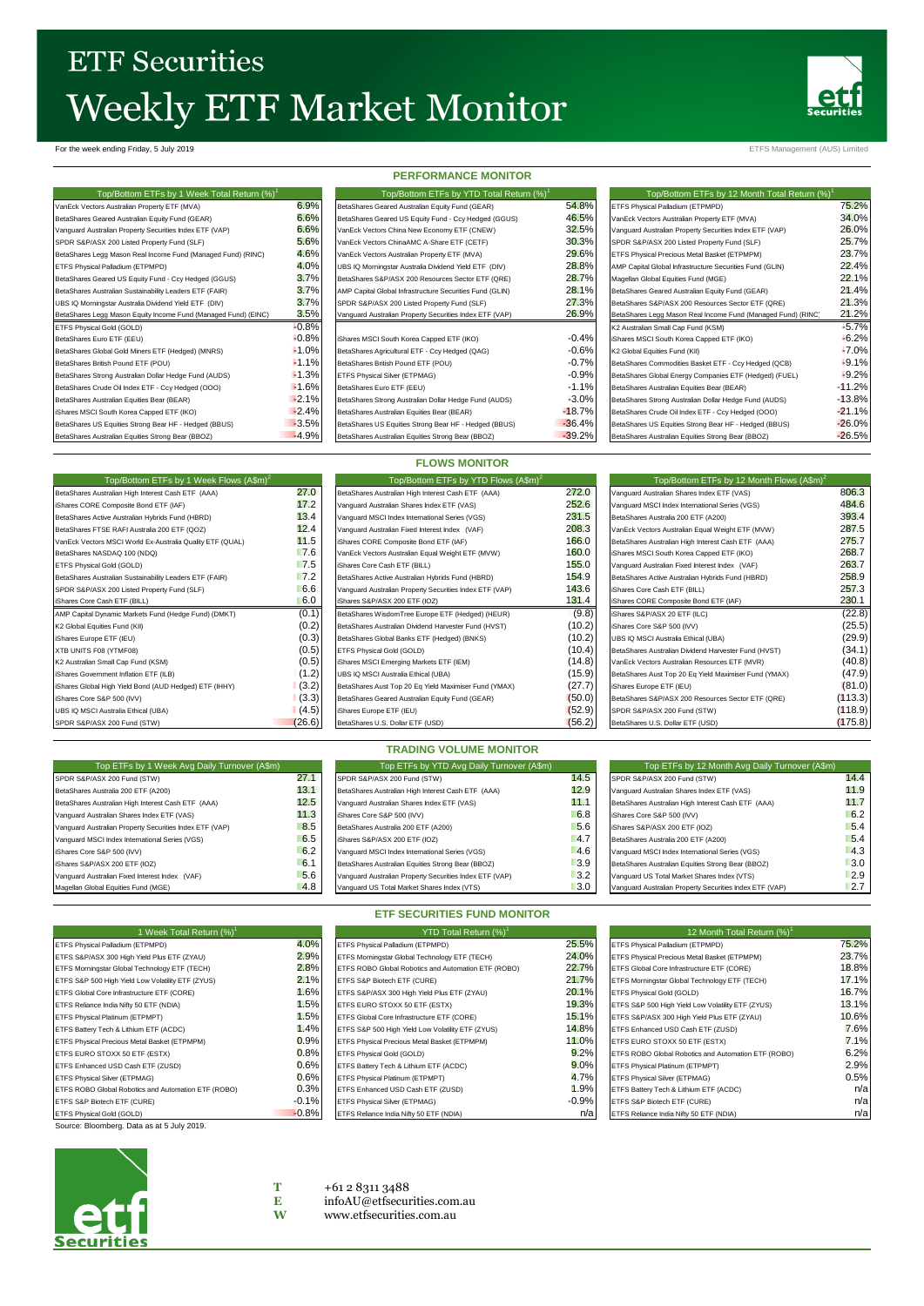# **ETF Securities** Weekly ETF Market Monitor



For the week ending Friday, 5 July 2019 ETFS Management (AUS) Limited

| Top/Bottom ETFs by 1 Week Total Return (%) <sup>1</sup>        |        |
|----------------------------------------------------------------|--------|
| VanEck Vectors Australian Property ETF (MVA)                   | 6.9    |
| BetaShares Geared Australian Equity Fund (GEAR)                | 6.6    |
| Vanguard Australian Property Securities Index ETF (VAP)        | 6.6    |
| SPDR S&P/ASX 200 Listed Property Fund (SLF)                    | 5.6    |
| BetaShares Legg Mason Real Income Fund (Managed Fund) (RINC)   | 4.6    |
| ETFS Physical Palladium (ETPMPD)                               | 4.0    |
| BetaShares Geared US Equity Fund - Ccy Hedged (GGUS)           | 3.7    |
| BetaShares Australian Sustainability Leaders ETF (FAIR)        | 3.7    |
| UBS IQ Morningstar Australia Dividend Yield ETF (DIV)          | 3.7    |
| BetaShares Legg Mason Equity Income Fund (Managed Fund) (EINC) | 3.5    |
| ETFS Physical Gold (GOLD)                                      | $-0.8$ |
| BetaShares Euro ETF (EEU)                                      | $-0.8$ |
| BetaShares Global Gold Miners ETF (Hedged) (MNRS)              | $-1.0$ |
| BetaShares British Pound ETF (POU)                             | $-1.1$ |
| BetaShares Strong Australian Dollar Hedge Fund (AUDS)          | $-1.3$ |
| BetaShares Crude Oil Index ETF - Ccv Hedged (OOO)              | $-1.6$ |
| BetaShares Australian Equities Bear (BEAR)                     | $-2.1$ |
| iShares MSCI South Korea Capped ETF (IKO)                      | $-2.4$ |
| BetaShares US Equities Strong Bear HF - Hedged (BBUS)          | $-3.5$ |
| BetaShares Australian Equities Strong Bear (BBOZ)              | $-4.9$ |

| <b>PERFORMANCE MONITOR</b>                               |          |  |  |  |
|----------------------------------------------------------|----------|--|--|--|
| Top/Bottom ETFs by YTD Total Return (%) <sup>1</sup>     |          |  |  |  |
| BetaShares Geared Australian Equity Fund (GEAR)          | 54.8%    |  |  |  |
| BetaShares Geared US Equity Fund - Ccy Hedged (GGUS)     | 46.5%    |  |  |  |
| VanEck Vectors China New Economy ETF (CNEW)              | 32.5%    |  |  |  |
| VanEck Vectors ChinaAMC A-Share ETF (CETF)               | 30.3%    |  |  |  |
| VanEck Vectors Australian Property ETF (MVA)             | 29.6%    |  |  |  |
| UBS IQ Morningstar Australia Dividend Yield ETF (DIV)    | 28.8%    |  |  |  |
| BetaShares S&P/ASX 200 Resources Sector ETF (QRE)        | 28.7%    |  |  |  |
| AMP Capital Global Infrastructure Securities Fund (GLIN) | 28.1%    |  |  |  |
| SPDR S&P/ASX 200 Listed Property Fund (SLF)              | 27.3%    |  |  |  |
| Vanguard Australian Property Securities Index ETF (VAP)  | 26.9%    |  |  |  |
|                                                          |          |  |  |  |
| iShares MSCI South Korea Capped ETF (IKO)                | $-0.4%$  |  |  |  |
| BetaShares Agricultural ETF - Ccy Hedged (QAG)           | $-0.6%$  |  |  |  |
| BetaShares British Pound ETF (POU)                       | $-0.7%$  |  |  |  |
| ETFS Physical Silver (ETPMAG)                            | $-0.9%$  |  |  |  |
| BetaShares Euro ETF (EEU)                                | $-1.19$  |  |  |  |
| BetaShares Strong Australian Dollar Hedge Fund (AUDS)    | $-3.0%$  |  |  |  |
| BetaShares Australian Equities Bear (BEAR)               | $-18.7%$ |  |  |  |
| BetaShares US Equities Strong Bear HF - Hedged (BBUS)    | $-36.4%$ |  |  |  |
| BatoChassa Australian Faultica Cisco e Boos (BBOZ)       | 30.20    |  |  |  |

**FLOWS MONITOR**

| Top/Bottom ETFs by 1 Week Total Return (%) <sup>1</sup>        |         | Top/Bottom ETFs by YTD Total Return (%)                  |          | Top/Bottom ETFs by 12 Month Total Return (%)                |          |
|----------------------------------------------------------------|---------|----------------------------------------------------------|----------|-------------------------------------------------------------|----------|
| VanEck Vectors Australian Property ETF (MVA)                   | 6.9%    | BetaShares Geared Australian Equity Fund (GEAR)          | 54.8%    | ETFS Physical Palladium (ETPMPD)                            | 75.2%    |
| BetaShares Geared Australian Equity Fund (GEAR)                | 6.6%    | BetaShares Geared US Equity Fund - Ccy Hedged (GGUS)     | 46.5%    | VanEck Vectors Australian Property ETF (MVA)                | 34.0%    |
| Vanguard Australian Property Securities Index ETF (VAP)        | 6.6%    | VanEck Vectors China New Economy ETF (CNEW)              | 32.5%    | Vanguard Australian Property Securities Index ETF (VAP)     | 26.0%    |
| SPDR S&P/ASX 200 Listed Property Fund (SLF)                    | 5.6%    | VanEck Vectors ChinaAMC A-Share ETF (CETF)               | 30.3%    | SPDR S&P/ASX 200 Listed Property Fund (SLF)                 | 25.7%    |
| BetaShares Legg Mason Real Income Fund (Managed Fund) (RINC)   | 4.6%    | VanEck Vectors Australian Property ETF (MVA)             | 29.6%    | ETFS Physical Precious Metal Basket (ETPMPM)                | 23.7%    |
| ETFS Physical Palladium (ETPMPD)                               | 4.0%    | UBS IQ Morningstar Australia Dividend Yield ETF (DIV)    | 28.8%    | AMP Capital Global Infrastructure Securities Fund (GLIN)    | 22.4%    |
| BetaShares Geared US Equity Fund - Ccy Hedged (GGUS)           | 3.7%    | BetaShares S&P/ASX 200 Resources Sector ETF (QRE)        | 28.7%    | Magellan Global Equities Fund (MGE)                         | 22.1%    |
| BetaShares Australian Sustainability Leaders ETF (FAIR)        | 3.7%    | AMP Capital Global Infrastructure Securities Fund (GLIN) | 28.1%    | BetaShares Geared Australian Equity Fund (GEAR)             | 21.4%    |
| UBS IQ Morningstar Australia Dividend Yield ETF (DIV)          | 3.7%    | SPDR S&P/ASX 200 Listed Property Fund (SLF)              | 27.3%    | BetaShares S&P/ASX 200 Resources Sector ETF (QRE)           | 21.3%    |
| BetaShares Legg Mason Equity Income Fund (Managed Fund) (EINC) | 3.5%    | Vanguard Australian Property Securities Index ETF (VAP)  | 26.9%    | BetaShares Legg Mason Real Income Fund (Managed Fund) (RINC | 21.2%    |
| ETFS Physical Gold (GOLD)                                      | $-0.8%$ |                                                          |          | K2 Australian Small Cap Fund (KSM)                          | $-5.7%$  |
| BetaShares Euro ETF (EEU)                                      | $-0.8%$ | iShares MSCI South Korea Capped ETF (IKO)                | $-0.4%$  | iShares MSCI South Korea Capped ETF (IKO)                   | $-6.2%$  |
| BetaShares Global Gold Miners ETF (Hedged) (MNRS)              | $-1.0%$ | BetaShares Agricultural ETF - Ccy Hedged (QAG)           | $-0.6%$  | K2 Global Equities Fund (KII)                               | $-7.0%$  |
| BetaShares British Pound ETF (POU)                             | $-1.1%$ | BetaShares British Pound ETF (POU)                       | $-0.7%$  | BetaShares Commodities Basket ETF - Ccv Hedged (QCB)        | $-9.1%$  |
| BetaShares Strong Australian Dollar Hedge Fund (AUDS)          | $-1.3%$ | ETFS Physical Silver (ETPMAG)                            | $-0.9%$  | BetaShares Global Energy Companies ETF (Hedged) (FUEL)      | $-9.2%$  |
| BetaShares Crude Oil Index ETF - Ccy Hedged (OOO)              | $-1.6%$ | BetaShares Euro ETF (EEU)                                | $-1.1%$  | BetaShares Australian Equities Bear (BEAR)                  | $-11.2%$ |
| BetaShares Australian Equities Bear (BEAR)                     | $-2.1%$ | BetaShares Strong Australian Dollar Hedge Fund (AUDS)    | $-3.0%$  | BetaShares Strong Australian Dollar Hedge Fund (AUDS)       | $-13.8%$ |
| iShares MSCI South Korea Capped ETF (IKO)                      | $-2.4%$ | BetaShares Australian Equities Bear (BEAR)               | $-18.7%$ | BetaShares Crude Oil Index ETF - Ccy Hedged (OOO)           | $-21.1%$ |
| BetaShares US Equities Strong Bear HF - Hedged (BBUS)          | $-3.5%$ | BetaShares US Equities Strong Bear HF - Hedged (BBUS)    | $-36.4%$ | BetaShares US Equities Strong Bear HF - Hedged (BBUS)       | $-26.0%$ |
| BetaShares Australian Equities Strong Bear (BBOZ)              | $-4.9%$ | BetaShares Australian Equities Strong Bear (BBOZ)        | $-39.2%$ | BetaShares Australian Equities Strong Bear (BBOZ)           | $-26.5%$ |

| Top/Bottom ETFs by 1 Week Flows (A\$m) <sup>2</sup>       |        | Top/Bottom ETFs by YTD Flows (A\$m) <sup>2</sup>        |        | Top/Bottom ETFs by 12 Month Flows (A\$m) <sup>2</sup> |         |
|-----------------------------------------------------------|--------|---------------------------------------------------------|--------|-------------------------------------------------------|---------|
| BetaShares Australian High Interest Cash ETF (AAA)        | 27.0   | BetaShares Australian High Interest Cash ETF (AAA)      | 272.0  | Vanguard Australian Shares Index ETF (VAS)            | 806.3   |
| iShares CORE Composite Bond ETF (IAF)                     | 17.2   | Vanguard Australian Shares Index ETF (VAS)              | 252.6  | Vanguard MSCI Index International Series (VGS)        | 484.6   |
| BetaShares Active Australian Hybrids Fund (HBRD)          | 13.4   | Vanguard MSCI Index International Series (VGS)          | 231.5  | BetaShares Australia 200 ETF (A200)                   | 393.4   |
| BetaShares FTSE RAFI Australia 200 ETF (QOZ)              | 12.4   | Vanguard Australian Fixed Interest Index (VAF)          | 208.3  | VanEck Vectors Australian Equal Weight ETF (MVW)      | 287.5   |
| VanEck Vectors MSCI World Ex-Australia Quality ETF (QUAL) | 11.5   | iShares CORE Composite Bond ETF (IAF)                   | 166.0  | BetaShares Australian High Interest Cash ETF (AAA)    | 275.7   |
| BetaShares NASDAQ 100 (NDQ)                               | 7.6    | VanEck Vectors Australian Equal Weight ETF (MVW)        | 160.0  | Shares MSCI South Korea Capped ETF (IKO)              | 268.7   |
| ETFS Physical Gold (GOLD)                                 | 7.5    | iShares Core Cash ETF (BILL)                            | 155.0  | Vanguard Australian Fixed Interest Index (VAF)        | 263.7   |
| BetaShares Australian Sustainability Leaders ETF (FAIR)   | 7.2    | BetaShares Active Australian Hybrids Fund (HBRD)        | 154.9  | BetaShares Active Australian Hybrids Fund (HBRD)      | 258.9   |
| SPDR S&P/ASX 200 Listed Property Fund (SLF)               | 6.6    | Vanguard Australian Property Securities Index ETF (VAP) | 143.6  | iShares Core Cash ETF (BILL)                          | 257.3   |
| iShares Core Cash ETF (BILL)                              | 6.0    | iShares S&P/ASX 200 ETF (IOZ)                           | 131.4  | iShares CORE Composite Bond ETF (IAF)                 | 230.1   |
| AMP Capital Dynamic Markets Fund (Hedge Fund) (DMKT)      | (0.1)  | BetaShares WisdomTree Europe ETF (Hedged) (HEUR)        | (9.8)  | iShares S&P/ASX 20 ETF (ILC)                          | (22.8)  |
| K2 Global Equities Fund (KII)                             | (0.2)  | BetaShares Australian Dividend Harvester Fund (HVST)    | (10.2) | iShares Core S&P 500 (IVV)                            | (25.5)  |
| iShares Europe ETF (IEU)                                  | (0.3)  | BetaShares Global Banks ETF (Hedged) (BNKS)             | (10.2) | UBS IQ MSCI Australia Ethical (UBA)                   | (29.9)  |
| XTB UNITS F08 (YTMF08)                                    | (0.5)  | ETFS Physical Gold (GOLD)                               | (10.4) | BetaShares Australian Dividend Harvester Fund (HVST)  | (34.1)  |
| K2 Australian Small Cap Fund (KSM)                        | (0.5)  | iShares MSCI Emerging Markets ETF (IEM)                 | (14.8) | VanEck Vectors Australian Resources ETF (MVR)         | (40.8)  |
| iShares Government Inflation ETF (ILB)                    | (1.2)  | UBS IQ MSCI Australia Ethical (UBA)                     | (15.9) | BetaShares Aust Top 20 Eq Yield Maximiser Fund (YMAX) | (47.9)  |
| iShares Global High Yield Bond (AUD Hedged) ETF (IHHY)    | (3.2)  | BetaShares Aust Top 20 Eq Yield Maximiser Fund (YMAX)   | (27.7) | iShares Europe ETF (IEU)                              | (81.0)  |
| iShares Core S&P 500 (IVV)                                | (3.3)  | BetaShares Geared Australian Equity Fund (GEAR)         | (50.0) | BetaShares S&P/ASX 200 Resources Sector ETF (QRE)     | (113.3) |
| UBS IQ MSCI Australia Ethical (UBA)                       | (4.5)  | iShares Europe ETF (IEU)                                | (52.9) | SPDR S&P/ASX 200 Fund (STW)                           | (118.9) |
| SPDR S&P/ASX 200 Fund (STW)                               | (26.6) | BetaShares U.S. Dollar ETF (USD)                        | (56.2) | BetaShares U.S. Dollar ETF (USD)                      | (175.8) |

|                                                         |      | $\cdots$                                                |      |                                                         |      |
|---------------------------------------------------------|------|---------------------------------------------------------|------|---------------------------------------------------------|------|
| Top ETFs by 1 Week Avg Daily Turnover (A\$m)            |      | Top ETFs by YTD Avg Daily Turnover (A\$m)               |      | Top ETFs by 12 Month Avg Daily Turnover (A\$m)          |      |
| SPDR S&P/ASX 200 Fund (STW)                             | 27.1 | SPDR S&P/ASX 200 Fund (STW)                             | 14.5 | SPDR S&P/ASX 200 Fund (STW)                             | 14.4 |
| BetaShares Australia 200 ETF (A200)                     | 13.1 | BetaShares Australian High Interest Cash ETF (AAA)      | 12.9 | Vanguard Australian Shares Index ETF (VAS)              | 11.9 |
| BetaShares Australian High Interest Cash ETF (AAA)      | 12.5 | Vanguard Australian Shares Index ETF (VAS)              | 11.1 | BetaShares Australian High Interest Cash ETF (AAA)      | 11.7 |
| Vanguard Australian Shares Index ETF (VAS)              | 11.3 | iShares Core S&P 500 (IVV)                              | 6.8  | iShares Core S&P 500 (IVV)                              | 6.2  |
| Vanguard Australian Property Securities Index ETF (VAP) | 8.5  | BetaShares Australia 200 ETF (A200)                     | 5.6  | iShares S&P/ASX 200 ETF (IOZ)                           | 5.4  |
| Vanguard MSCI Index International Series (VGS)          | 6.5  | iShares S&P/ASX 200 ETF (IOZ)                           | 4.7  | BetaShares Australia 200 ETF (A200)                     | 5.4  |
| iShares Core S&P 500 (IVV)                              | 6.2  | Vanguard MSCI Index International Series (VGS)          | 4.6  | Vanguard MSCI Index International Series (VGS)          | 4.3  |
| iShares S&P/ASX 200 ETF (IOZ)                           | 6.1  | BetaShares Australian Equities Strong Bear (BBOZ)       | 3.9  | BetaShares Australian Equities Strong Bear (BBOZ)       | 3.0  |
| Vanguard Australian Fixed Interest Index (VAF)          | 5.6  | Vanguard Australian Property Securities Index ETF (VAP) | 3.2  | Vanguard US Total Market Shares Index (VTS)             | 2.9  |
| Magellan Global Equities Fund (MGE)                     | 4.8  | Vanguard US Total Market Shares Index (VTS)             | 3.0  | Vanguard Australian Property Securities Index ETF (VAP) | 2.7  |
|                                                         |      |                                                         |      |                                                         |      |

**TRADING VOLUME MONITOR**

| 1 Week Total Return (%) <sup>1</sup>                |         | YTD Total Return (%) <sup>1</sup>                   |         | 12 Month Total Return (%) <sup>1</sup>              |                 |
|-----------------------------------------------------|---------|-----------------------------------------------------|---------|-----------------------------------------------------|-----------------|
| ETFS Physical Palladium (ETPMPD)                    | 4.0%    | ETFS Physical Palladium (ETPMPD)                    | 25.5%   | ETFS Physical Palladium (ETPMPD)                    | 75.2%           |
| ETFS S&P/ASX 300 High Yield Plus ETF (ZYAU)         | 2.9%    | ETFS Morningstar Global Technology ETF (TECH)       | 24.0%   | ETFS Physical Precious Metal Basket (ETPMPM)        | 23.7%           |
| ETFS Morningstar Global Technology ETF (TECH)       | 2.8%    | ETFS ROBO Global Robotics and Automation ETF (ROBO) | 22.7%   | ETFS Global Core Infrastructure ETF (CORE)          | 18.8%           |
| ETFS S&P 500 High Yield Low Volatility ETF (ZYUS)   | 2.1%    | ETFS S&P Biotech ETF (CURE)                         | 21.7%   | ETFS Morningstar Global Technology ETF (TECH)       | 17.1%           |
| ETFS Global Core Infrastructure ETF (CORE)          | 1.6%    | ETFS S&P/ASX 300 High Yield Plus ETF (ZYAU)         | 20.1%   | ETFS Physical Gold (GOLD)                           | 16.7%           |
| ETFS Reliance India Nifty 50 ETF (NDIA)             | 1.5%    | ETFS EURO STOXX 50 ETF (ESTX)                       | 19.3%   | ETFS S&P 500 High Yield Low Volatility ETF (ZYUS)   | 13.1%           |
| ETFS Physical Platinum (ETPMPT)                     | 1.5%    | ETFS Global Core Infrastructure ETF (CORE)          | 15.1%   | ETFS S&P/ASX 300 High Yield Plus ETF (ZYAU)         | 10.6%           |
| ETFS Battery Tech & Lithium ETF (ACDC)              | 1.4%    | ETFS S&P 500 High Yield Low Volatility ETF (ZYUS)   | 14.8%   | ETFS Enhanced USD Cash ETF (ZUSD)                   | 7.6%            |
| ETFS Physical Precious Metal Basket (ETPMPM)        | 0.9%    | ETFS Physical Precious Metal Basket (ETPMPM)        | 11.0%   | ETFS EURO STOXX 50 ETF (ESTX)                       | 7.1%            |
| ETFS EURO STOXX 50 ETF (ESTX)                       | 0.8%    | ETFS Physical Gold (GOLD)                           | 9.2%    | ETFS ROBO Global Robotics and Automation ETF (ROBO) | 6.2%            |
| ETFS Enhanced USD Cash ETF (ZUSD)                   | 0.6%    | ETFS Battery Tech & Lithium ETF (ACDC)              | 9.0%    | ETFS Physical Platinum (ETPMPT)                     | 2.9%            |
| ETFS Physical Silver (ETPMAG)                       | 0.6%    | ETFS Physical Platinum (ETPMPT)                     | 4.7%    | ETFS Physical Silver (ETPMAG)                       | 0.5%            |
| ETFS ROBO Global Robotics and Automation ETF (ROBO) | 0.3%    | ETFS Enhanced USD Cash ETF (ZUSD)                   | 1.9%    | ETFS Battery Tech & Lithium ETF (ACDC)              | $n/\varepsilon$ |
| ETFS S&P Biotech ETF (CURE)                         | $-0.1%$ | ETFS Physical Silver (ETPMAG)                       | $+0.9%$ | ETFS S&P Biotech ETF (CURE)                         | $n/\varepsilon$ |
| ETFS Physical Gold (GOLD)                           | $-0.8%$ | ETFS Reliance India Nifty 50 ETF (NDIA)             | n/a     | ETFS Reliance India Nifty 50 ETF (NDIA)             | n/a             |

Source: Bloomberg. Data as at 5 July 2019.



| % | ETFS Physical Palladium (ETPMPD)                    | 25.5   |
|---|-----------------------------------------------------|--------|
| % | ETFS Morningstar Global Technology ETF (TECH)       | 24.0   |
| ℅ | ETFS ROBO Global Robotics and Automation ETF (ROBO) | 22.7   |
| ℅ | ETFS S&P Biotech ETF (CURE)                         | 21.7   |
| ℅ | ETFS S&P/ASX 300 High Yield Plus ETF (ZYAU)         | 20.1   |
| ℅ | ETFS EURO STOXX 50 ETF (ESTX)                       | 19.3   |
| ℅ | ETFS Global Core Infrastructure ETF (CORE)          | 15.1   |
| ℅ | ETFS S&P 500 High Yield Low Volatility ETF (ZYUS)   | 14.8   |
| ℅ | ETFS Physical Precious Metal Basket (ETPMPM)        | 11.0   |
| ℅ | ETFS Physical Gold (GOLD)                           | 9.2    |
| ℅ | ETFS Battery Tech & Lithium ETF (ACDC)              | 9.0    |
| ℅ | ETFS Physical Platinum (ETPMPT)                     | 4.7    |
| ℅ | ETFS Enhanced USD Cash ETF (ZUSD)                   | 1.9    |
| ℅ | ETFS Physical Silver (ETPMAG)                       | $-0.9$ |
| ₩ | ETES Relignes Indig Nifty 50 ETE (NDIA)             | r      |

## **ETF SECURITIES FUND MONITOR**

| 12 Month Total Return (%)                           |       |
|-----------------------------------------------------|-------|
| ETFS Physical Palladium (ETPMPD)                    | 75.2% |
| ETFS Physical Precious Metal Basket (ETPMPM)        | 23.7% |
| ETFS Global Core Infrastructure ETF (CORE)          | 18.8% |
| ETFS Morningstar Global Technology ETF (TECH)       | 17.1% |
| ETFS Physical Gold (GOLD)                           | 16.7% |
| ETFS S&P 500 High Yield Low Volatility ETF (ZYUS)   | 13.1% |
| ETFS S&P/ASX 300 High Yield Plus ETF (ZYAU)         | 10.6% |
| ETFS Enhanced USD Cash ETF (ZUSD)                   | 7.6%  |
| ETFS EURO STOXX 50 ETF (ESTX)                       | 7.1%  |
| ETFS ROBO Global Robotics and Automation ETF (ROBO) | 6.2%  |
| ETFS Physical Platinum (ETPMPT)                     | 2.9%  |
| ETFS Physical Silver (ETPMAG)                       | 0.5%  |
| ETFS Battery Tech & Lithium ETF (ACDC)              | n/a   |
| ETFS S&P Biotech ETF (CURE)                         | n/a   |
| ETFS Reliance India Nifty 50 ETF (NDIA)             | n/a   |

# **T** +61 2 8311 3488<br>**E** infoAU@etfsecu

**E** [infoAU@etfsecurities.com.au](mailto:infoAU@etfsecurities.com.au)<br>W www.etfsecurities.com.au **W** [www.etfsecurities.com.au](http://www.etfsecurities.com.au/)